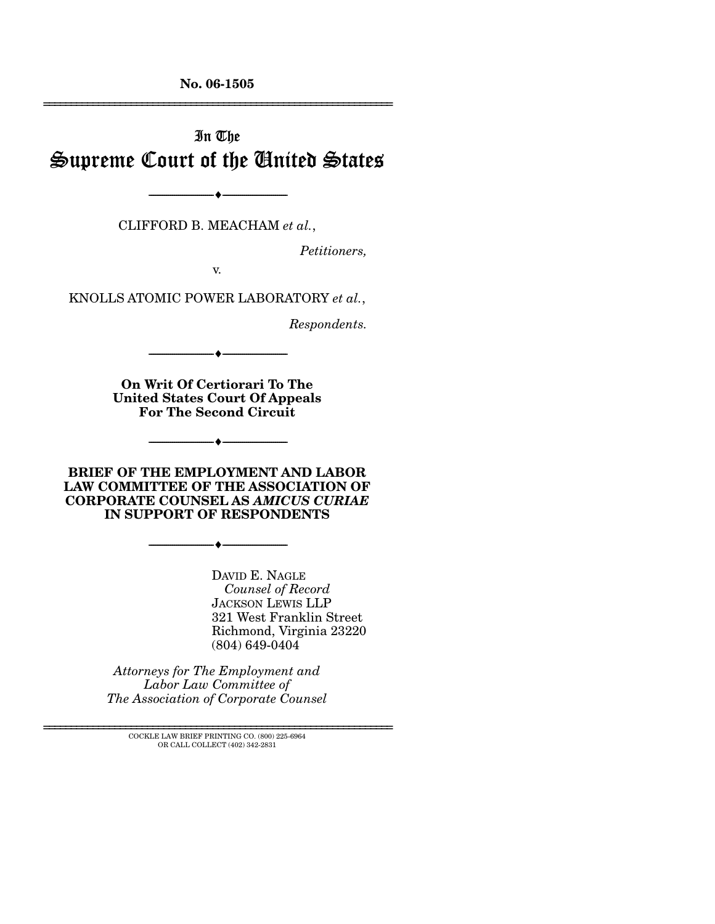**No. 06-1505**  ================================================================

# In The Supreme Court of the United States

CLIFFORD B. MEACHAM *et al.*,

--------------------------------- ♦ ---------------------------------

*Petitioners,* 

v.

KNOLLS ATOMIC POWER LABORATORY *et al.*,

*Respondents.* 

**On Writ Of Certiorari To The United States Court Of Appeals For The Second Circuit** 

--------------------------------- ♦ ---------------------------------

**BRIEF OF THE EMPLOYMENT AND LABOR LAW COMMITTEE OF THE ASSOCIATION OF CORPORATE COUNSEL AS** *AMICUS CURIAE* **IN SUPPORT OF RESPONDENTS** 

--------------------------------- ♦ ---------------------------------

--------------------------------- ♦ ---------------------------------

DAVID E. NAGLE *Counsel of Record*  JACKSON LEWIS LLP 321 West Franklin Street Richmond, Virginia 23220 (804) 649-0404

*Attorneys for The Employment and Labor Law Committee of The Association of Corporate Counsel* 

================================================================ COCKLE LAW BRIEF PRINTING CO. (800) 225-6964 OR CALL COLLECT (402) 342-2831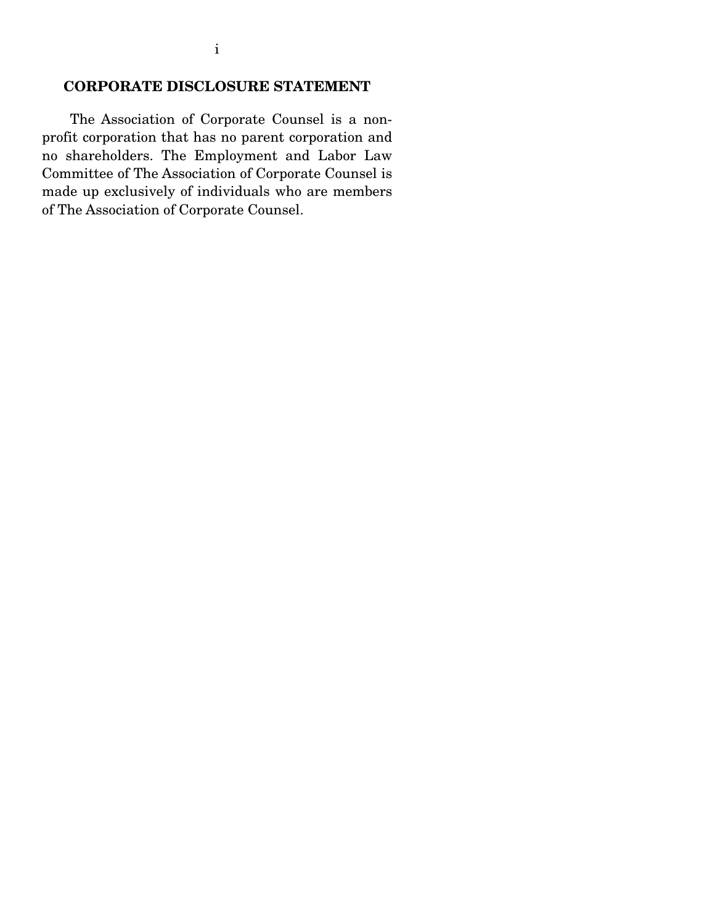### **CORPORATE DISCLOSURE STATEMENT**

 The Association of Corporate Counsel is a nonprofit corporation that has no parent corporation and no shareholders. The Employment and Labor Law Committee of The Association of Corporate Counsel is made up exclusively of individuals who are members of The Association of Corporate Counsel.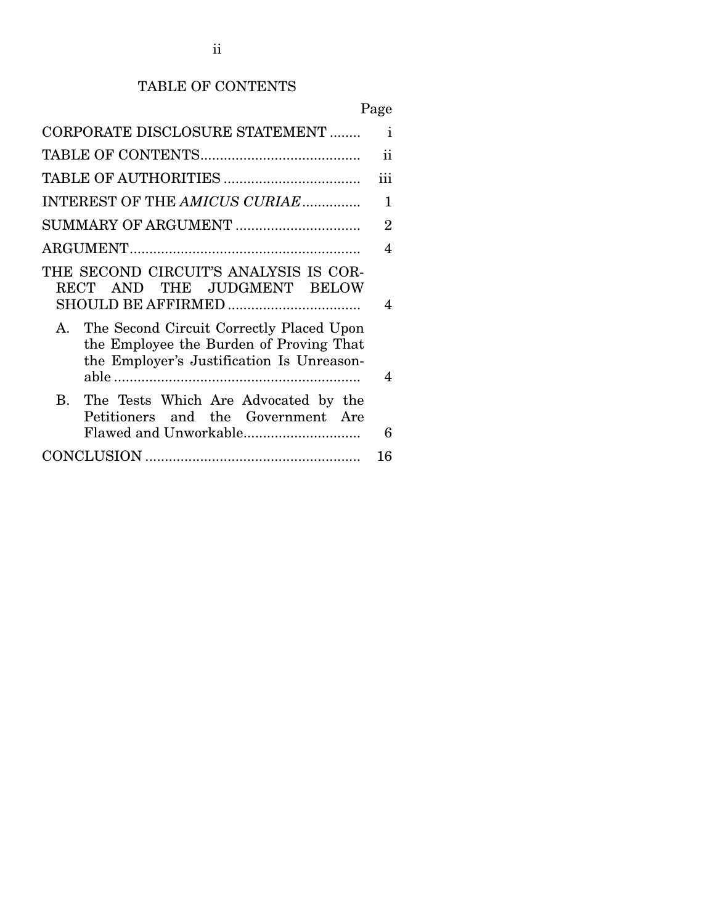# TABLE OF CONTENTS

# Page

| CORPORATE DISCLOSURE STATEMENT                                                                                                      | $\mathbf{i}$           |
|-------------------------------------------------------------------------------------------------------------------------------------|------------------------|
|                                                                                                                                     | 11                     |
|                                                                                                                                     | iii                    |
| INTEREST OF THE AMICUS CURIAE                                                                                                       | 1                      |
| SUMMARY OF ARGUMENT                                                                                                                 | $\overline{2}$         |
|                                                                                                                                     | 4                      |
| THE SECOND CIRCUIT'S ANALYSIS IS COR-<br>RECT AND THE JUDGMENT BELOW<br>SHOULD BE AFFIRMED                                          | $\boldsymbol{\Lambda}$ |
| A. The Second Circuit Correctly Placed Upon<br>the Employee the Burden of Proving That<br>the Employer's Justification Is Unreason- | 4                      |
| $\mathbf{B}$<br>The Tests Which Are Advocated by the<br>Petitioners and the Government Are                                          | 6                      |
|                                                                                                                                     | 16                     |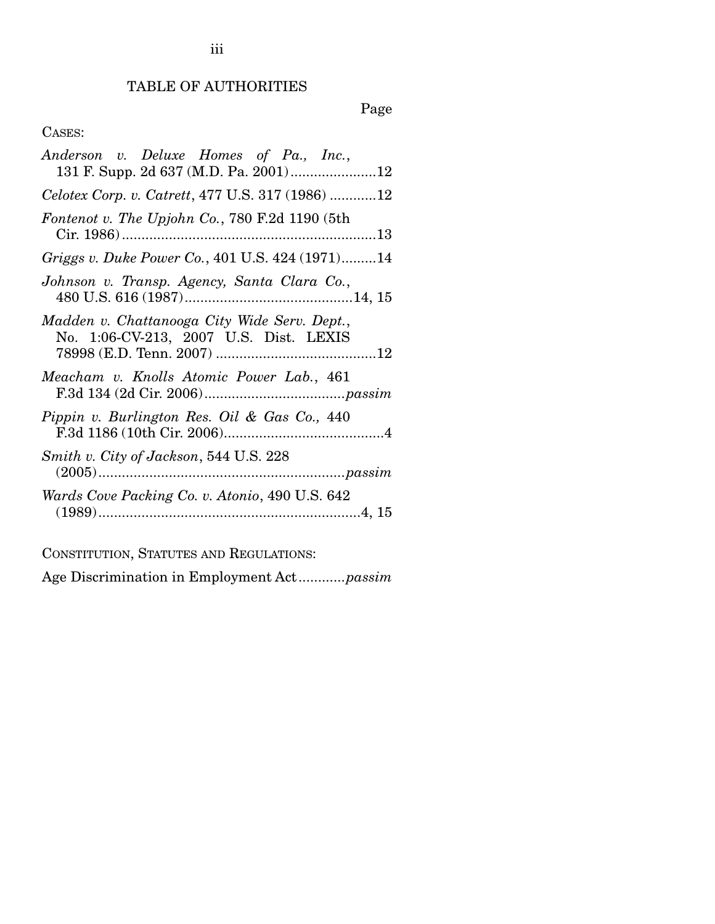## TABLE OF AUTHORITIES

## Page

### CASES:

CONSTITUTION, STATUTES AND REGULATIONS:

Age Discrimination in Employment Act............*passim*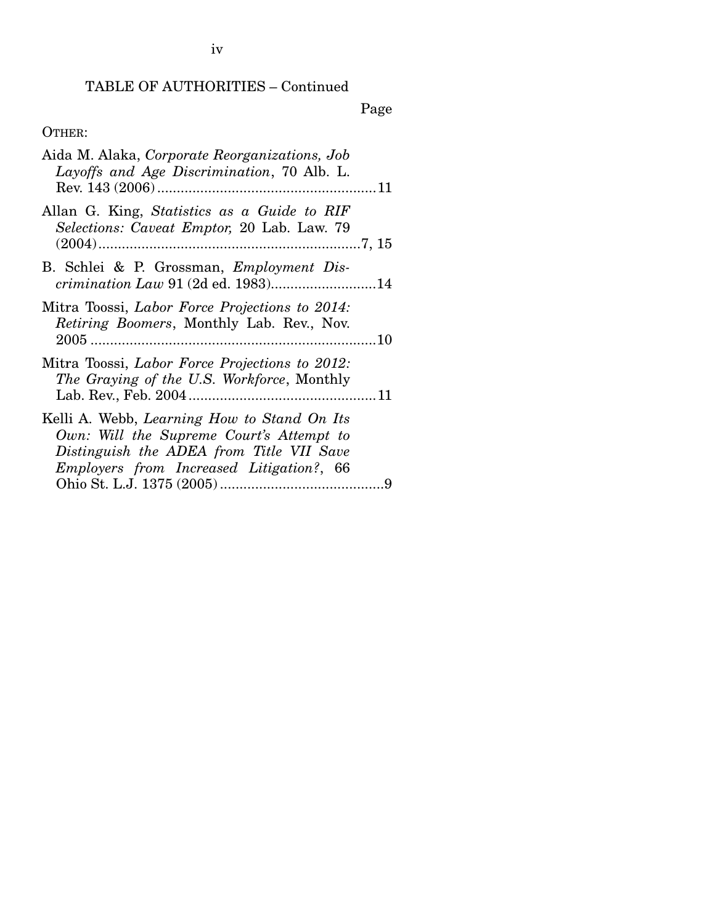## TABLE OF AUTHORITIES – Continued

Page

## OTHER:

| Aida M. Alaka, Corporate Reorganizations, Job<br>Layoffs and Age Discrimination, 70 Alb. L.                                                                                     |  |
|---------------------------------------------------------------------------------------------------------------------------------------------------------------------------------|--|
| Allan G. King, Statistics as a Guide to RIF<br>Selections: Caveat Emptor, 20 Lab. Law. 79                                                                                       |  |
| B. Schlei & P. Grossman, <i>Employment Dis-</i><br><i>crimination Law</i> 91 (2d ed. 1983)14                                                                                    |  |
| Mitra Toossi, Labor Force Projections to 2014:<br><i>Retiring Boomers</i> , Monthly Lab. Rev., Nov.                                                                             |  |
| Mitra Toossi, Labor Force Projections to 2012:<br>The Graying of the U.S. Workforce, Monthly                                                                                    |  |
| Kelli A. Webb, Learning How to Stand On Its<br>Own: Will the Supreme Court's Attempt to<br>Distinguish the ADEA from Title VII Save<br>Employers from Increased Litigation?, 66 |  |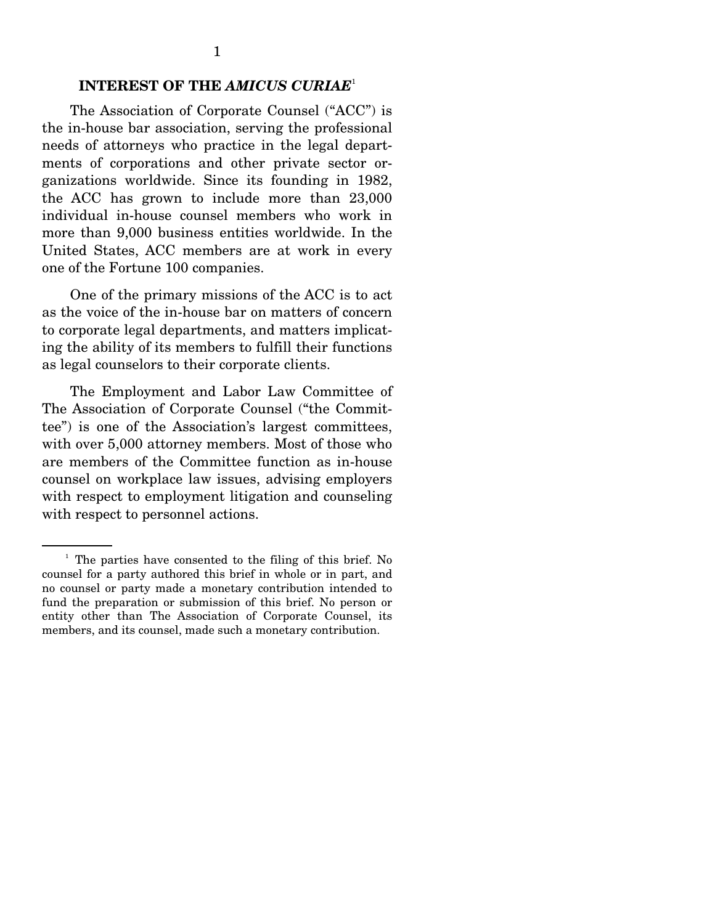#### **INTEREST OF THE** *AMICUS CURIAE*<sup>1</sup>

 The Association of Corporate Counsel ("ACC") is the in-house bar association, serving the professional needs of attorneys who practice in the legal departments of corporations and other private sector organizations worldwide. Since its founding in 1982, the ACC has grown to include more than 23,000 individual in-house counsel members who work in more than 9,000 business entities worldwide. In the United States, ACC members are at work in every one of the Fortune 100 companies.

 One of the primary missions of the ACC is to act as the voice of the in-house bar on matters of concern to corporate legal departments, and matters implicating the ability of its members to fulfill their functions as legal counselors to their corporate clients.

 The Employment and Labor Law Committee of The Association of Corporate Counsel ("the Committee") is one of the Association's largest committees, with over 5,000 attorney members. Most of those who are members of the Committee function as in-house counsel on workplace law issues, advising employers with respect to employment litigation and counseling with respect to personnel actions.

<sup>&</sup>lt;sup>1</sup> The parties have consented to the filing of this brief. No counsel for a party authored this brief in whole or in part, and no counsel or party made a monetary contribution intended to fund the preparation or submission of this brief. No person or entity other than The Association of Corporate Counsel, its members, and its counsel, made such a monetary contribution.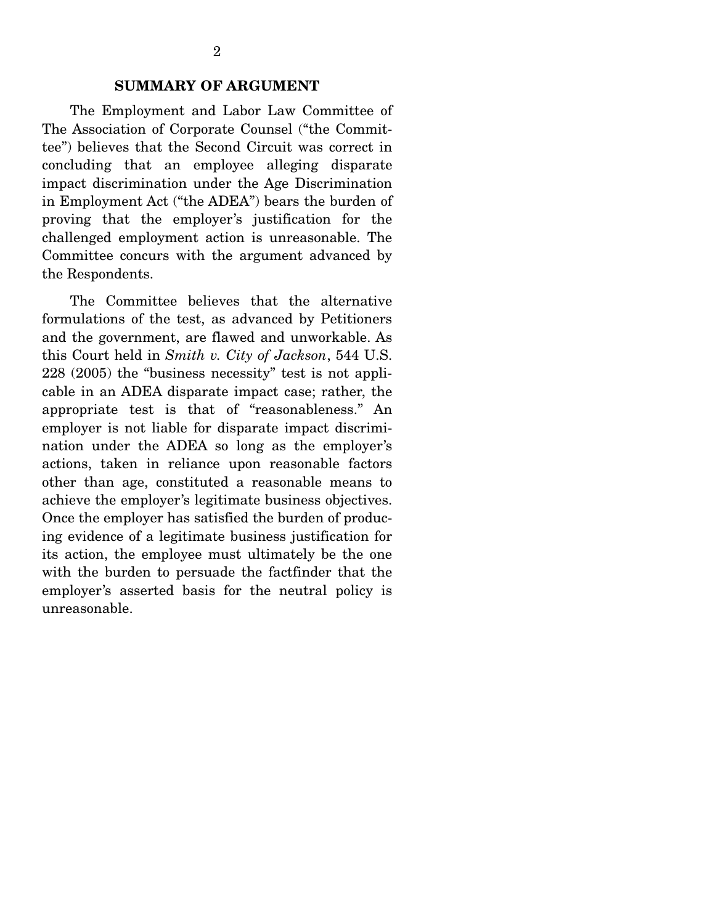The Employment and Labor Law Committee of The Association of Corporate Counsel ("the Committee") believes that the Second Circuit was correct in concluding that an employee alleging disparate impact discrimination under the Age Discrimination in Employment Act ("the ADEA") bears the burden of proving that the employer's justification for the challenged employment action is unreasonable. The Committee concurs with the argument advanced by the Respondents.

 The Committee believes that the alternative formulations of the test, as advanced by Petitioners and the government, are flawed and unworkable. As this Court held in *Smith v. City of Jackson*, 544 U.S. 228 (2005) the "business necessity" test is not applicable in an ADEA disparate impact case; rather, the appropriate test is that of "reasonableness." An employer is not liable for disparate impact discrimination under the ADEA so long as the employer's actions, taken in reliance upon reasonable factors other than age, constituted a reasonable means to achieve the employer's legitimate business objectives. Once the employer has satisfied the burden of producing evidence of a legitimate business justification for its action, the employee must ultimately be the one with the burden to persuade the factfinder that the employer's asserted basis for the neutral policy is unreasonable.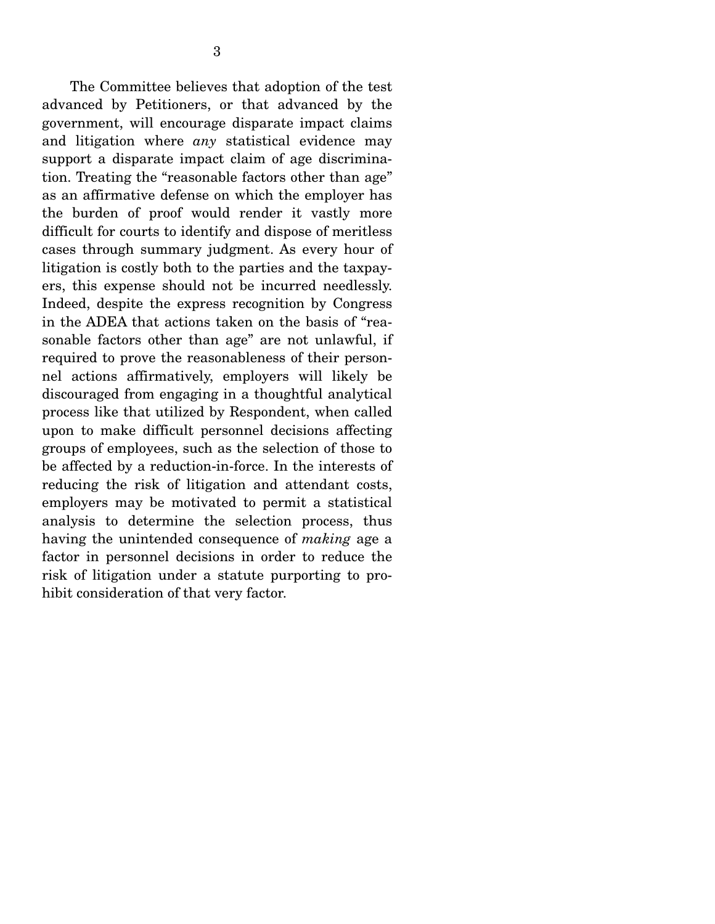The Committee believes that adoption of the test advanced by Petitioners, or that advanced by the government, will encourage disparate impact claims and litigation where *any* statistical evidence may support a disparate impact claim of age discrimination. Treating the "reasonable factors other than age" as an affirmative defense on which the employer has the burden of proof would render it vastly more difficult for courts to identify and dispose of meritless cases through summary judgment. As every hour of litigation is costly both to the parties and the taxpayers, this expense should not be incurred needlessly. Indeed, despite the express recognition by Congress in the ADEA that actions taken on the basis of "reasonable factors other than age" are not unlawful, if required to prove the reasonableness of their personnel actions affirmatively, employers will likely be discouraged from engaging in a thoughtful analytical process like that utilized by Respondent, when called upon to make difficult personnel decisions affecting groups of employees, such as the selection of those to be affected by a reduction-in-force. In the interests of reducing the risk of litigation and attendant costs, employers may be motivated to permit a statistical analysis to determine the selection process, thus having the unintended consequence of *making* age a factor in personnel decisions in order to reduce the risk of litigation under a statute purporting to prohibit consideration of that very factor.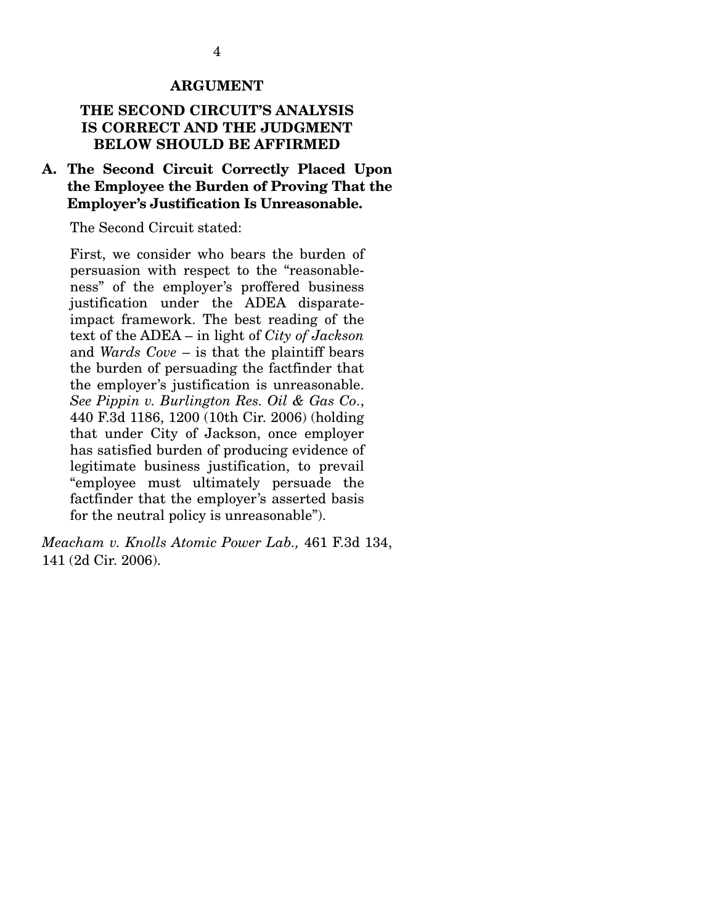#### **ARGUMENT**

#### **THE SECOND CIRCUIT'S ANALYSIS IS CORRECT AND THE JUDGMENT BELOW SHOULD BE AFFIRMED**

#### **A. The Second Circuit Correctly Placed Upon the Employee the Burden of Proving That the Employer's Justification Is Unreasonable.**

The Second Circuit stated:

First, we consider who bears the burden of persuasion with respect to the "reasonableness" of the employer's proffered business justification under the ADEA disparateimpact framework. The best reading of the text of the ADEA – in light of *City of Jackson* and *Wards Cove* – is that the plaintiff bears the burden of persuading the factfinder that the employer's justification is unreasonable. *See Pippin v. Burlington Res. Oil & Gas Co*., 440 F.3d 1186, 1200 (10th Cir. 2006) (holding that under City of Jackson, once employer has satisfied burden of producing evidence of legitimate business justification, to prevail "employee must ultimately persuade the factfinder that the employer's asserted basis for the neutral policy is unreasonable").

*Meacham v. Knolls Atomic Power Lab.,* 461 F.3d 134, 141 (2d Cir. 2006).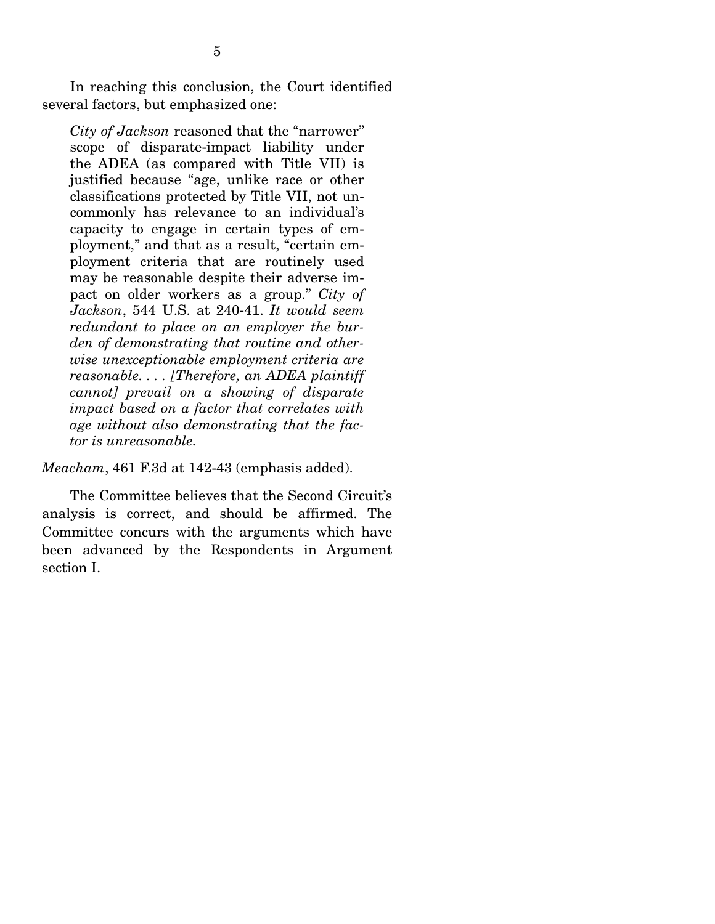In reaching this conclusion, the Court identified several factors, but emphasized one:

*City of Jackson* reasoned that the "narrower" scope of disparate-impact liability under the ADEA (as compared with Title VII) is justified because "age, unlike race or other classifications protected by Title VII, not uncommonly has relevance to an individual's capacity to engage in certain types of employment," and that as a result, "certain employment criteria that are routinely used may be reasonable despite their adverse impact on older workers as a group." *City of Jackson*, 544 U.S. at 240-41. *It would seem redundant to place on an employer the burden of demonstrating that routine and otherwise unexceptionable employment criteria are reasonable. . . . [Therefore, an ADEA plaintiff cannot] prevail on a showing of disparate impact based on a factor that correlates with age without also demonstrating that the factor is unreasonable.* 

*Meacham*, 461 F.3d at 142-43 (emphasis added).

 The Committee believes that the Second Circuit's analysis is correct, and should be affirmed. The Committee concurs with the arguments which have been advanced by the Respondents in Argument section I.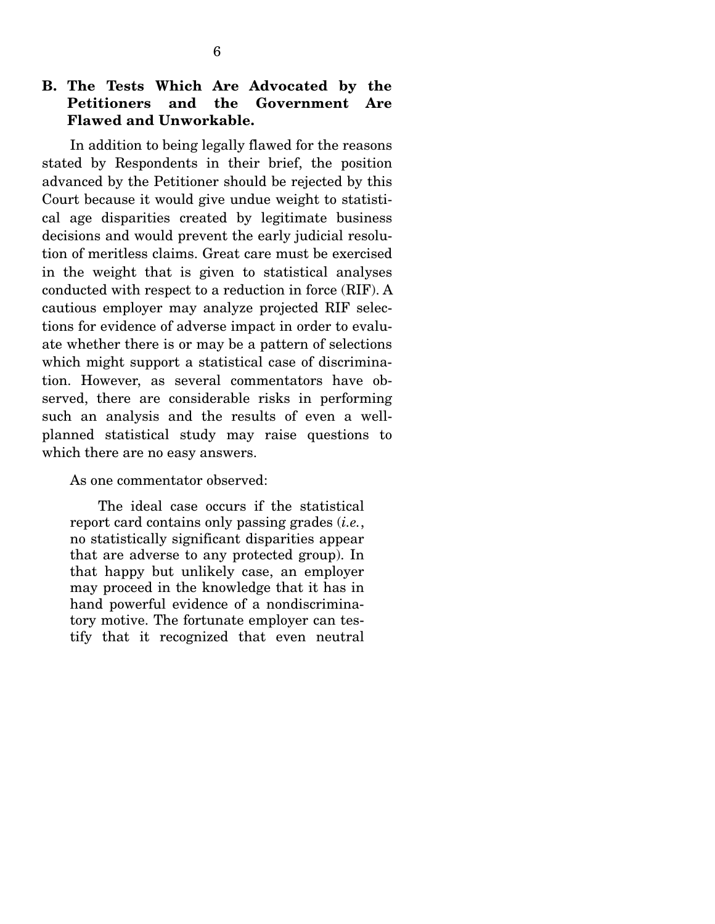### **B. The Tests Which Are Advocated by the Petitioners and the Government Are Flawed and Unworkable.**

 In addition to being legally flawed for the reasons stated by Respondents in their brief, the position advanced by the Petitioner should be rejected by this Court because it would give undue weight to statistical age disparities created by legitimate business decisions and would prevent the early judicial resolution of meritless claims. Great care must be exercised in the weight that is given to statistical analyses conducted with respect to a reduction in force (RIF). A cautious employer may analyze projected RIF selections for evidence of adverse impact in order to evaluate whether there is or may be a pattern of selections which might support a statistical case of discrimination. However, as several commentators have observed, there are considerable risks in performing such an analysis and the results of even a wellplanned statistical study may raise questions to which there are no easy answers.

#### As one commentator observed:

 The ideal case occurs if the statistical report card contains only passing grades (*i.e.*, no statistically significant disparities appear that are adverse to any protected group). In that happy but unlikely case, an employer may proceed in the knowledge that it has in hand powerful evidence of a nondiscriminatory motive. The fortunate employer can testify that it recognized that even neutral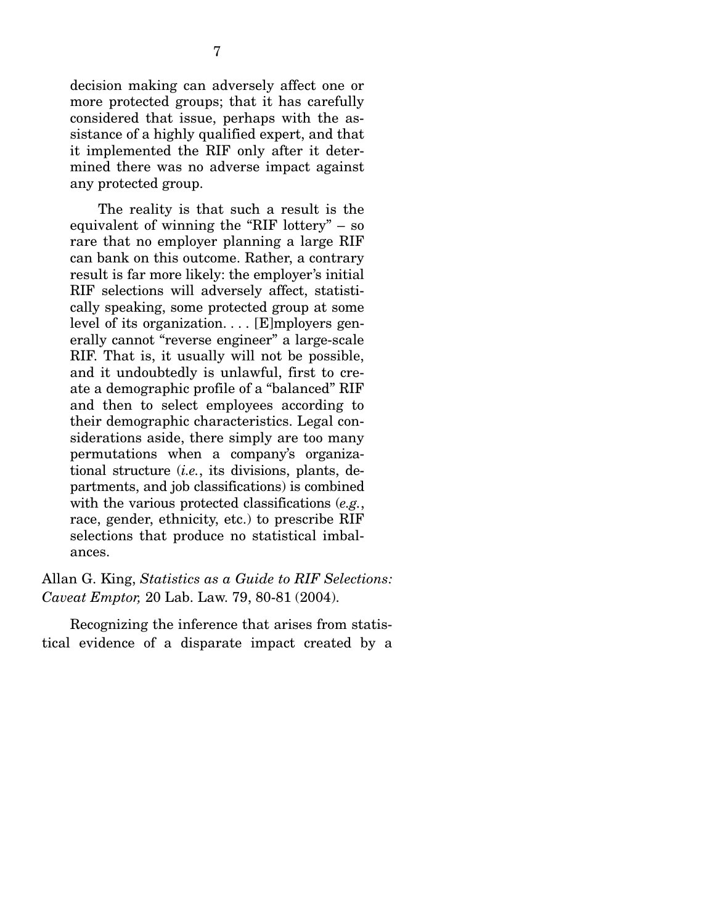decision making can adversely affect one or more protected groups; that it has carefully considered that issue, perhaps with the assistance of a highly qualified expert, and that it implemented the RIF only after it determined there was no adverse impact against any protected group.

 The reality is that such a result is the equivalent of winning the "RIF lottery" – so rare that no employer planning a large RIF can bank on this outcome. Rather, a contrary result is far more likely: the employer's initial RIF selections will adversely affect, statistically speaking, some protected group at some level of its organization. . . . [E]mployers generally cannot "reverse engineer" a large-scale RIF. That is, it usually will not be possible, and it undoubtedly is unlawful, first to create a demographic profile of a "balanced" RIF and then to select employees according to their demographic characteristics. Legal considerations aside, there simply are too many permutations when a company's organizational structure (*i.e.*, its divisions, plants, departments, and job classifications) is combined with the various protected classifications (*e.g.*, race, gender, ethnicity, etc.) to prescribe RIF selections that produce no statistical imbalances.

Allan G. King, *Statistics as a Guide to RIF Selections: Caveat Emptor,* 20 Lab. Law. 79, 80-81 (2004).

 Recognizing the inference that arises from statistical evidence of a disparate impact created by a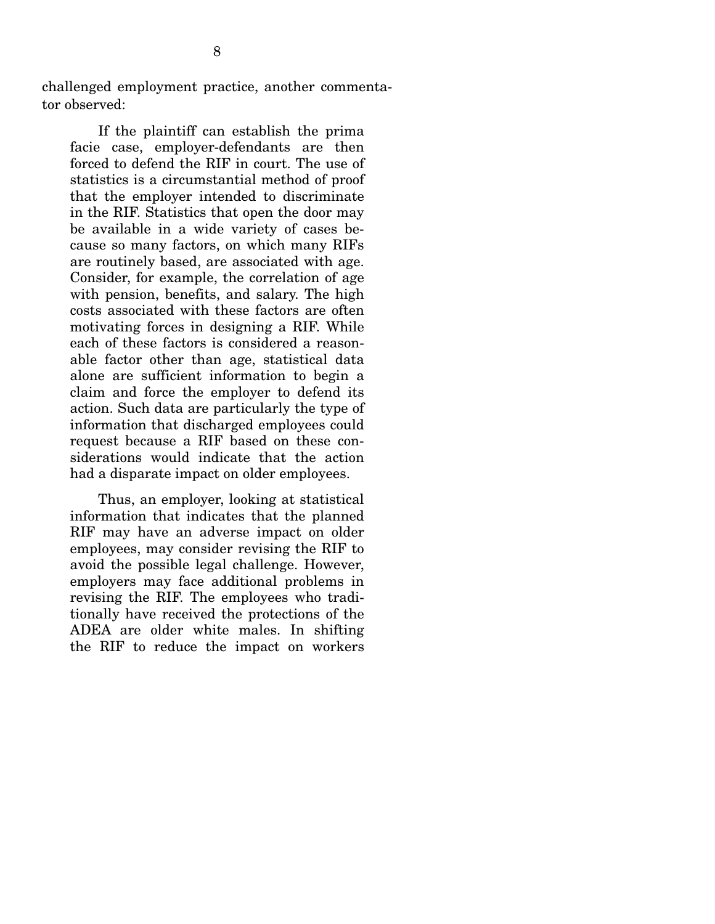challenged employment practice, another commentator observed:

 If the plaintiff can establish the prima facie case, employer-defendants are then forced to defend the RIF in court. The use of statistics is a circumstantial method of proof that the employer intended to discriminate in the RIF. Statistics that open the door may be available in a wide variety of cases because so many factors, on which many RIFs are routinely based, are associated with age. Consider, for example, the correlation of age with pension, benefits, and salary. The high costs associated with these factors are often motivating forces in designing a RIF. While each of these factors is considered a reasonable factor other than age, statistical data alone are sufficient information to begin a claim and force the employer to defend its action. Such data are particularly the type of information that discharged employees could request because a RIF based on these considerations would indicate that the action had a disparate impact on older employees.

 Thus, an employer, looking at statistical information that indicates that the planned RIF may have an adverse impact on older employees, may consider revising the RIF to avoid the possible legal challenge. However, employers may face additional problems in revising the RIF. The employees who traditionally have received the protections of the ADEA are older white males. In shifting the RIF to reduce the impact on workers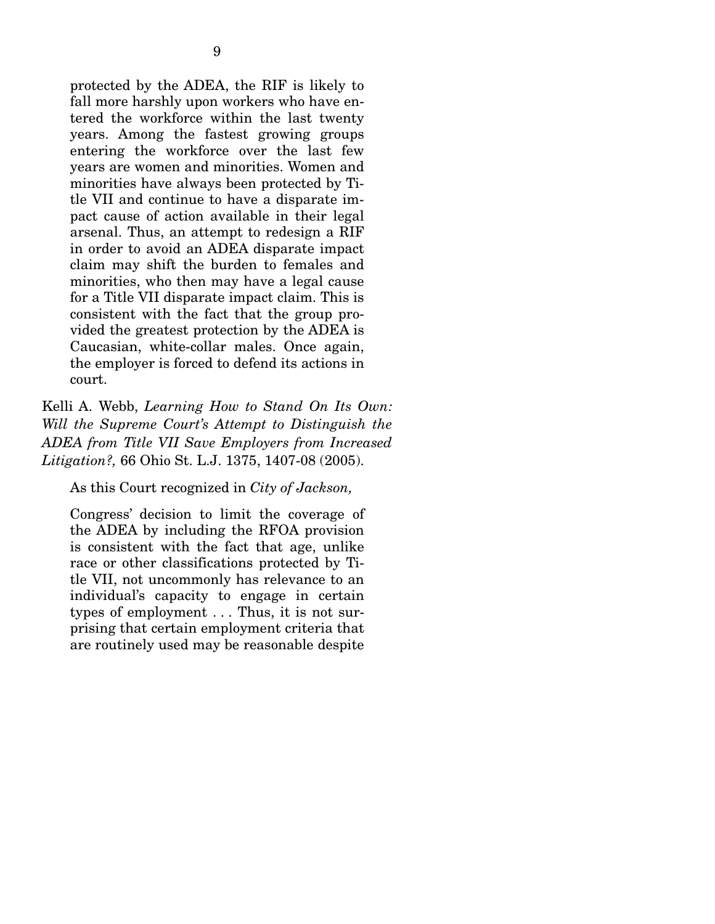protected by the ADEA, the RIF is likely to fall more harshly upon workers who have entered the workforce within the last twenty years. Among the fastest growing groups entering the workforce over the last few years are women and minorities. Women and minorities have always been protected by Title VII and continue to have a disparate impact cause of action available in their legal arsenal. Thus, an attempt to redesign a RIF in order to avoid an ADEA disparate impact claim may shift the burden to females and minorities, who then may have a legal cause for a Title VII disparate impact claim. This is consistent with the fact that the group provided the greatest protection by the ADEA is Caucasian, white-collar males. Once again, the employer is forced to defend its actions in court.

Kelli A. Webb, *Learning How to Stand On Its Own: Will the Supreme Court's Attempt to Distinguish the ADEA from Title VII Save Employers from Increased Litigation?,* 66 Ohio St. L.J. 1375, 1407-08 (2005).

As this Court recognized in *City of Jackson,*

Congress' decision to limit the coverage of the ADEA by including the RFOA provision is consistent with the fact that age, unlike race or other classifications protected by Title VII, not uncommonly has relevance to an individual's capacity to engage in certain types of employment . . . Thus, it is not surprising that certain employment criteria that are routinely used may be reasonable despite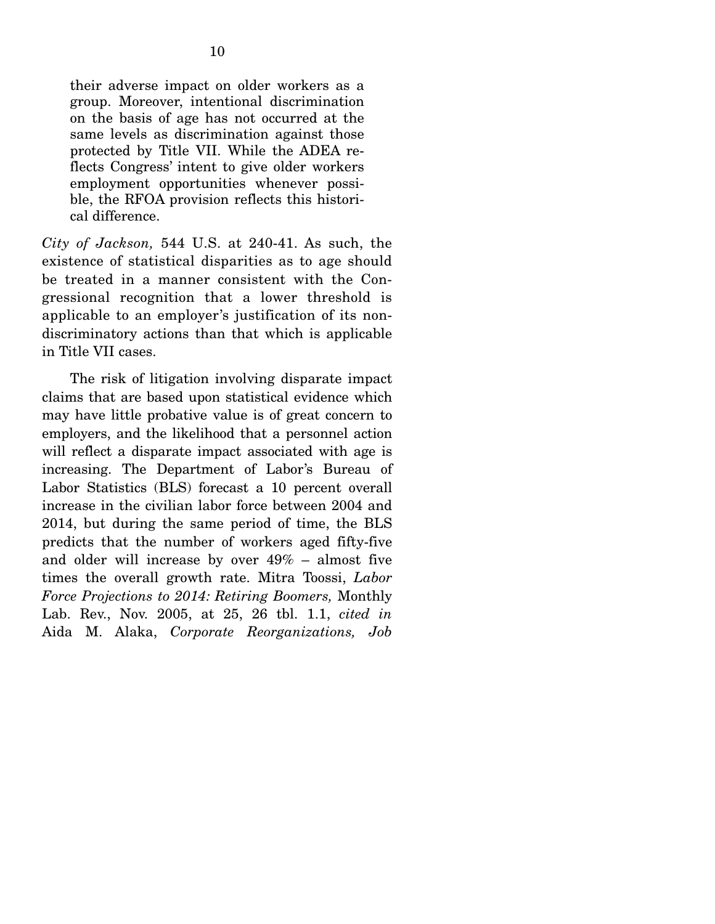their adverse impact on older workers as a group. Moreover, intentional discrimination on the basis of age has not occurred at the same levels as discrimination against those protected by Title VII. While the ADEA reflects Congress' intent to give older workers employment opportunities whenever possible, the RFOA provision reflects this historical difference.

*City of Jackson,* 544 U.S. at 240-41. As such, the existence of statistical disparities as to age should be treated in a manner consistent with the Congressional recognition that a lower threshold is applicable to an employer's justification of its nondiscriminatory actions than that which is applicable in Title VII cases.

 The risk of litigation involving disparate impact claims that are based upon statistical evidence which may have little probative value is of great concern to employers, and the likelihood that a personnel action will reflect a disparate impact associated with age is increasing. The Department of Labor's Bureau of Labor Statistics (BLS) forecast a 10 percent overall increase in the civilian labor force between 2004 and 2014, but during the same period of time, the BLS predicts that the number of workers aged fifty-five and older will increase by over 49% – almost five times the overall growth rate. Mitra Toossi, *Labor Force Projections to 2014: Retiring Boomers,* Monthly Lab. Rev., Nov. 2005, at 25, 26 tbl. 1.1, *cited in*  Aida M. Alaka, *Corporate Reorganizations, Job*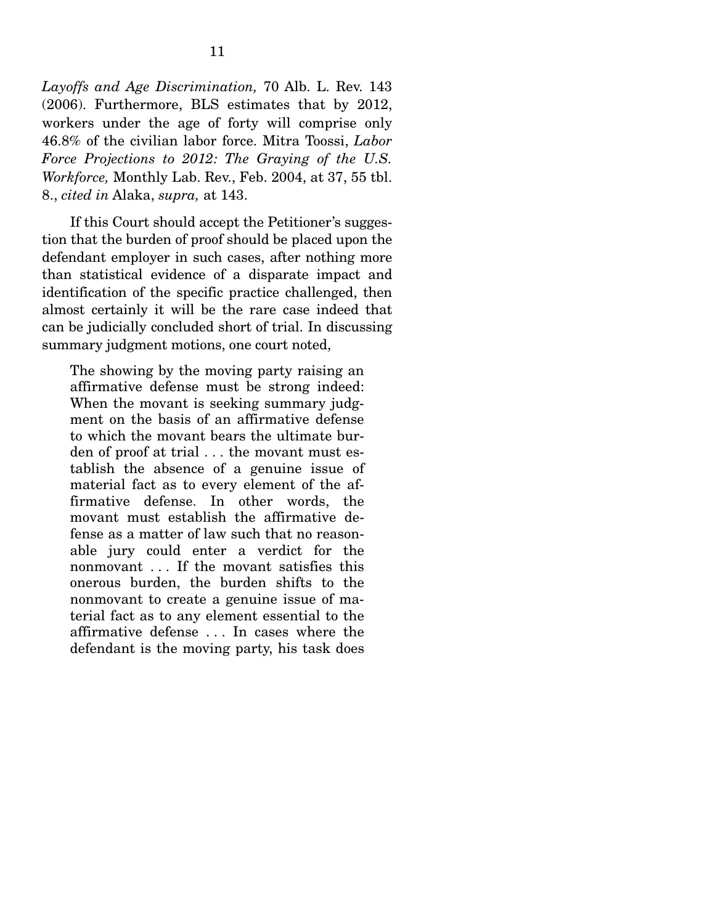*Layoffs and Age Discrimination,* 70 Alb. L. Rev. 143 (2006). Furthermore, BLS estimates that by 2012, workers under the age of forty will comprise only 46.8% of the civilian labor force. Mitra Toossi, *Labor Force Projections to 2012: The Graying of the U.S. Workforce,* Monthly Lab. Rev., Feb. 2004, at 37, 55 tbl. 8., *cited in* Alaka, *supra,* at 143.

 If this Court should accept the Petitioner's suggestion that the burden of proof should be placed upon the defendant employer in such cases, after nothing more than statistical evidence of a disparate impact and identification of the specific practice challenged, then almost certainly it will be the rare case indeed that can be judicially concluded short of trial. In discussing summary judgment motions, one court noted,

The showing by the moving party raising an affirmative defense must be strong indeed: When the movant is seeking summary judgment on the basis of an affirmative defense to which the movant bears the ultimate burden of proof at trial . . . the movant must establish the absence of a genuine issue of material fact as to every element of the affirmative defense. In other words, the movant must establish the affirmative defense as a matter of law such that no reasonable jury could enter a verdict for the nonmovant . . . If the movant satisfies this onerous burden, the burden shifts to the nonmovant to create a genuine issue of material fact as to any element essential to the affirmative defense . . . In cases where the defendant is the moving party, his task does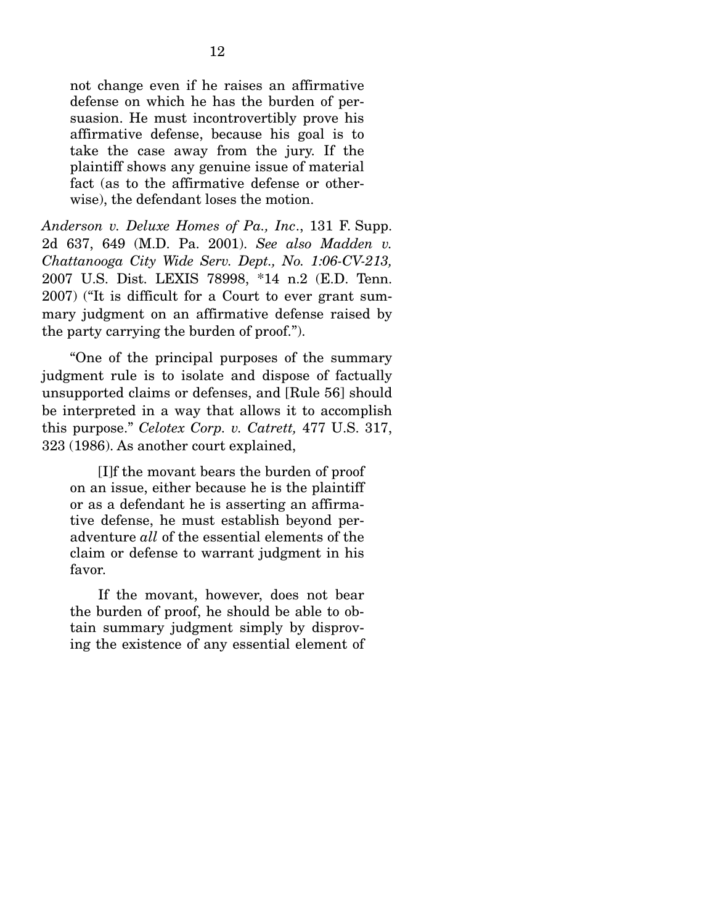not change even if he raises an affirmative defense on which he has the burden of persuasion. He must incontrovertibly prove his affirmative defense, because his goal is to take the case away from the jury. If the plaintiff shows any genuine issue of material fact (as to the affirmative defense or otherwise), the defendant loses the motion.

*Anderson v. Deluxe Homes of Pa., Inc*., 131 F. Supp. 2d 637, 649 (M.D. Pa. 2001). *See also Madden v. Chattanooga City Wide Serv. Dept., No. 1:06-CV-213,*  2007 U.S. Dist. LEXIS 78998, \*14 n.2 (E.D. Tenn. 2007) ("It is difficult for a Court to ever grant summary judgment on an affirmative defense raised by the party carrying the burden of proof.").

 "One of the principal purposes of the summary judgment rule is to isolate and dispose of factually unsupported claims or defenses, and [Rule 56] should be interpreted in a way that allows it to accomplish this purpose." *Celotex Corp. v. Catrett,* 477 U.S. 317, 323 (1986). As another court explained,

 [I]f the movant bears the burden of proof on an issue, either because he is the plaintiff or as a defendant he is asserting an affirmative defense, he must establish beyond peradventure *all* of the essential elements of the claim or defense to warrant judgment in his favor.

 If the movant, however, does not bear the burden of proof, he should be able to obtain summary judgment simply by disproving the existence of any essential element of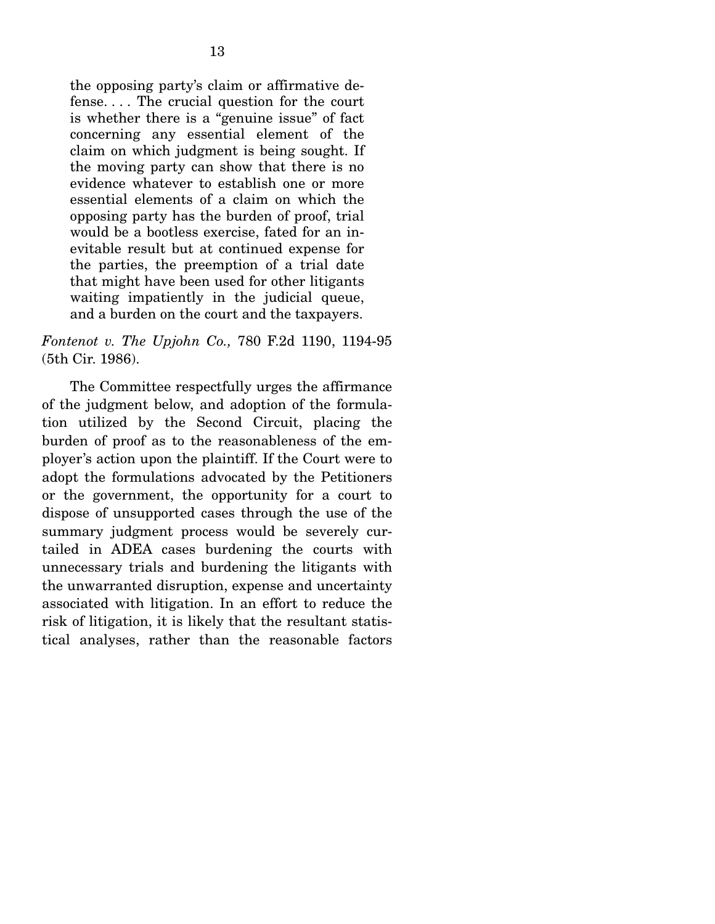the opposing party's claim or affirmative defense. . . . The crucial question for the court is whether there is a "genuine issue" of fact concerning any essential element of the claim on which judgment is being sought. If the moving party can show that there is no evidence whatever to establish one or more essential elements of a claim on which the opposing party has the burden of proof, trial would be a bootless exercise, fated for an inevitable result but at continued expense for the parties, the preemption of a trial date that might have been used for other litigants waiting impatiently in the judicial queue, and a burden on the court and the taxpayers.

*Fontenot v. The Upjohn Co.,* 780 F.2d 1190, 1194-95 (5th Cir. 1986).

 The Committee respectfully urges the affirmance of the judgment below, and adoption of the formulation utilized by the Second Circuit, placing the burden of proof as to the reasonableness of the employer's action upon the plaintiff. If the Court were to adopt the formulations advocated by the Petitioners or the government, the opportunity for a court to dispose of unsupported cases through the use of the summary judgment process would be severely curtailed in ADEA cases burdening the courts with unnecessary trials and burdening the litigants with the unwarranted disruption, expense and uncertainty associated with litigation. In an effort to reduce the risk of litigation, it is likely that the resultant statistical analyses, rather than the reasonable factors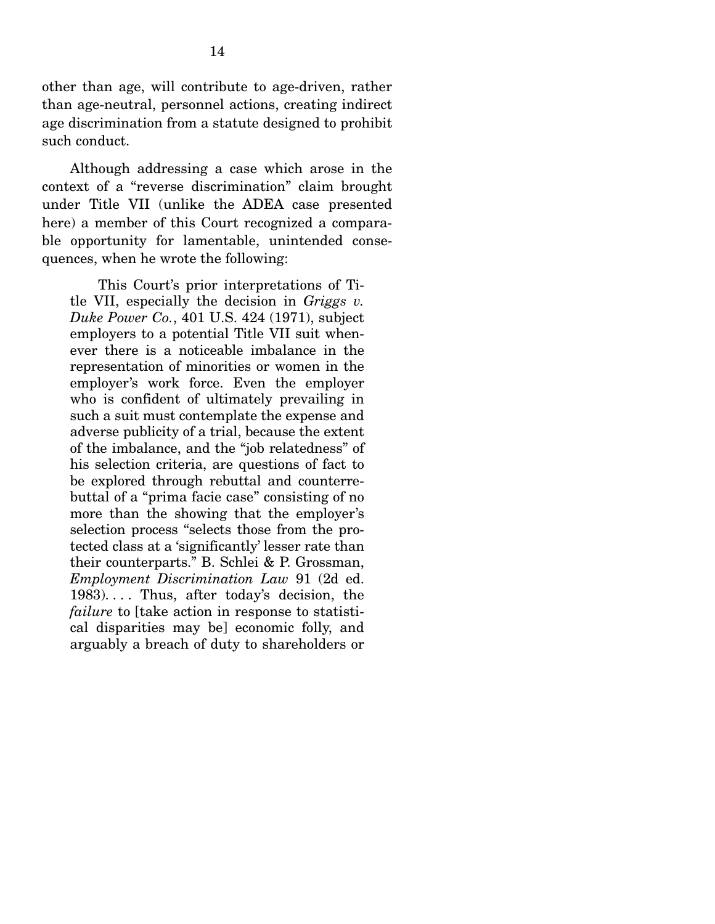other than age, will contribute to age-driven, rather than age-neutral, personnel actions, creating indirect age discrimination from a statute designed to prohibit such conduct.

 Although addressing a case which arose in the context of a "reverse discrimination" claim brought under Title VII (unlike the ADEA case presented here) a member of this Court recognized a comparable opportunity for lamentable, unintended consequences, when he wrote the following:

 This Court's prior interpretations of Title VII, especially the decision in *Griggs v. Duke Power Co.*, 401 U.S. 424 (1971), subject employers to a potential Title VII suit whenever there is a noticeable imbalance in the representation of minorities or women in the employer's work force. Even the employer who is confident of ultimately prevailing in such a suit must contemplate the expense and adverse publicity of a trial, because the extent of the imbalance, and the "job relatedness" of his selection criteria, are questions of fact to be explored through rebuttal and counterrebuttal of a "prima facie case" consisting of no more than the showing that the employer's selection process "selects those from the protected class at a 'significantly' lesser rate than their counterparts." B. Schlei & P. Grossman, *Employment Discrimination Law* 91 (2d ed. 1983). . . . Thus, after today's decision, the *failure* to [take action in response to statistical disparities may be] economic folly, and arguably a breach of duty to shareholders or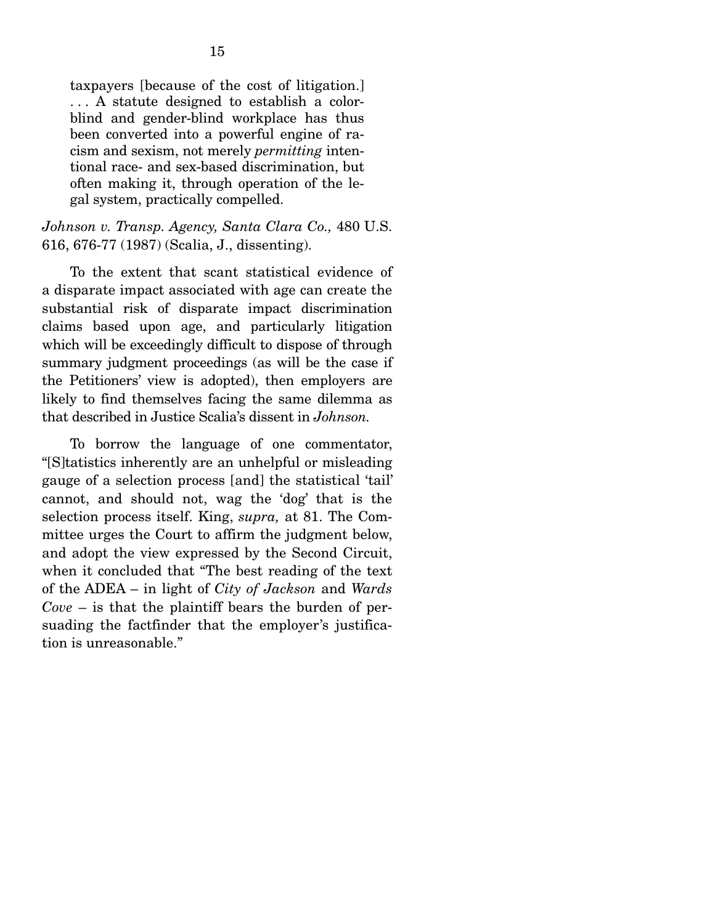taxpayers [because of the cost of litigation.] . . . A statute designed to establish a colorblind and gender-blind workplace has thus been converted into a powerful engine of racism and sexism, not merely *permitting* intentional race- and sex-based discrimination, but often making it, through operation of the legal system, practically compelled.

#### *Johnson v. Transp. Agency, Santa Clara Co.,* 480 U.S. 616, 676-77 (1987) (Scalia, J., dissenting).

 To the extent that scant statistical evidence of a disparate impact associated with age can create the substantial risk of disparate impact discrimination claims based upon age, and particularly litigation which will be exceedingly difficult to dispose of through summary judgment proceedings (as will be the case if the Petitioners' view is adopted), then employers are likely to find themselves facing the same dilemma as that described in Justice Scalia's dissent in *Johnson.* 

 To borrow the language of one commentator, "[S]tatistics inherently are an unhelpful or misleading gauge of a selection process [and] the statistical 'tail' cannot, and should not, wag the 'dog' that is the selection process itself. King, *supra,* at 81. The Committee urges the Court to affirm the judgment below, and adopt the view expressed by the Second Circuit, when it concluded that "The best reading of the text of the ADEA – in light of *City of Jackson* and *Wards Cove* – is that the plaintiff bears the burden of persuading the factfinder that the employer's justification is unreasonable."